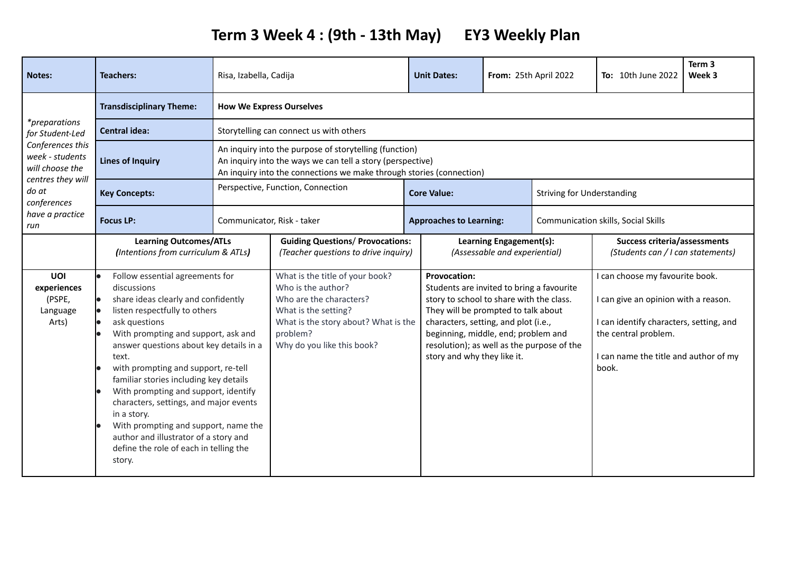## **Term 3 Week 4 : (9th - 13th May) EY3 Weekly Plan**

| <b>Notes:</b>                                                                                                                                  | <b>Teachers:</b>                                                                                                                                                                                                                                                                                                                                                                                                                                                                                                                                          | Risa, Izabella, Cadija                                                                                                                                                                       |                                                                                                                                                                                            | <b>Unit Dates:</b>                                 |                                                                                                                                                                                                                                                           | From: 25th April 2022               | <b>To:</b> 10th June 2022                                                                                                                                                                    | Term 3<br>Week 3 |
|------------------------------------------------------------------------------------------------------------------------------------------------|-----------------------------------------------------------------------------------------------------------------------------------------------------------------------------------------------------------------------------------------------------------------------------------------------------------------------------------------------------------------------------------------------------------------------------------------------------------------------------------------------------------------------------------------------------------|----------------------------------------------------------------------------------------------------------------------------------------------------------------------------------------------|--------------------------------------------------------------------------------------------------------------------------------------------------------------------------------------------|----------------------------------------------------|-----------------------------------------------------------------------------------------------------------------------------------------------------------------------------------------------------------------------------------------------------------|-------------------------------------|----------------------------------------------------------------------------------------------------------------------------------------------------------------------------------------------|------------------|
| <i>*preparations</i><br>for Student-Led<br>Conferences this<br>week - students<br>will choose the<br>centres they will<br>do at<br>conferences | <b>Transdisciplinary Theme:</b>                                                                                                                                                                                                                                                                                                                                                                                                                                                                                                                           | <b>How We Express Ourselves</b>                                                                                                                                                              |                                                                                                                                                                                            |                                                    |                                                                                                                                                                                                                                                           |                                     |                                                                                                                                                                                              |                  |
|                                                                                                                                                | <b>Central idea:</b>                                                                                                                                                                                                                                                                                                                                                                                                                                                                                                                                      | Storytelling can connect us with others                                                                                                                                                      |                                                                                                                                                                                            |                                                    |                                                                                                                                                                                                                                                           |                                     |                                                                                                                                                                                              |                  |
|                                                                                                                                                | <b>Lines of Inquiry</b>                                                                                                                                                                                                                                                                                                                                                                                                                                                                                                                                   | An inquiry into the purpose of storytelling (function)<br>An inquiry into the ways we can tell a story (perspective)<br>An inquiry into the connections we make through stories (connection) |                                                                                                                                                                                            |                                                    |                                                                                                                                                                                                                                                           |                                     |                                                                                                                                                                                              |                  |
|                                                                                                                                                | <b>Key Concepts:</b>                                                                                                                                                                                                                                                                                                                                                                                                                                                                                                                                      | Perspective, Function, Connection                                                                                                                                                            |                                                                                                                                                                                            | <b>Core Value:</b>                                 |                                                                                                                                                                                                                                                           |                                     | <b>Striving for Understanding</b>                                                                                                                                                            |                  |
| have a practice<br>run                                                                                                                         | <b>Focus LP:</b>                                                                                                                                                                                                                                                                                                                                                                                                                                                                                                                                          | Communicator, Risk - taker                                                                                                                                                                   |                                                                                                                                                                                            | <b>Approaches to Learning:</b>                     |                                                                                                                                                                                                                                                           | Communication skills, Social Skills |                                                                                                                                                                                              |                  |
|                                                                                                                                                | <b>Learning Outcomes/ATLs</b><br>(Intentions from curriculum & ATLs)                                                                                                                                                                                                                                                                                                                                                                                                                                                                                      |                                                                                                                                                                                              | <b>Guiding Questions/ Provocations:</b><br>(Teacher questions to drive inquiry)                                                                                                            |                                                    | Learning Engagement(s):<br>(Assessable and experiential)                                                                                                                                                                                                  |                                     | <b>Success criteria/assessments</b><br>(Students can / I can statements)                                                                                                                     |                  |
| UOI<br>experiences<br>(PSPE,<br>Language<br>Arts)                                                                                              | Follow essential agreements for<br>discussions<br>share ideas clearly and confidently<br>listen respectfully to others<br>ask questions<br>With prompting and support, ask and<br>answer questions about key details in a<br>text.<br>with prompting and support, re-tell<br>familiar stories including key details<br>With prompting and support, identify<br>characters, settings, and major events<br>in a story.<br>With prompting and support, name the<br>author and illustrator of a story and<br>define the role of each in telling the<br>story. |                                                                                                                                                                                              | What is the title of your book?<br>Who is the author?<br>Who are the characters?<br>What is the setting?<br>What is the story about? What is the<br>problem?<br>Why do you like this book? | <b>Provocation:</b><br>story and why they like it. | Students are invited to bring a favourite<br>story to school to share with the class.<br>They will be prompted to talk about<br>characters, setting, and plot (i.e.,<br>beginning, middle, end; problem and<br>resolution); as well as the purpose of the |                                     | I can choose my favourite book.<br>I can give an opinion with a reason.<br>I can identify characters, setting, and<br>the central problem.<br>I can name the title and author of my<br>book. |                  |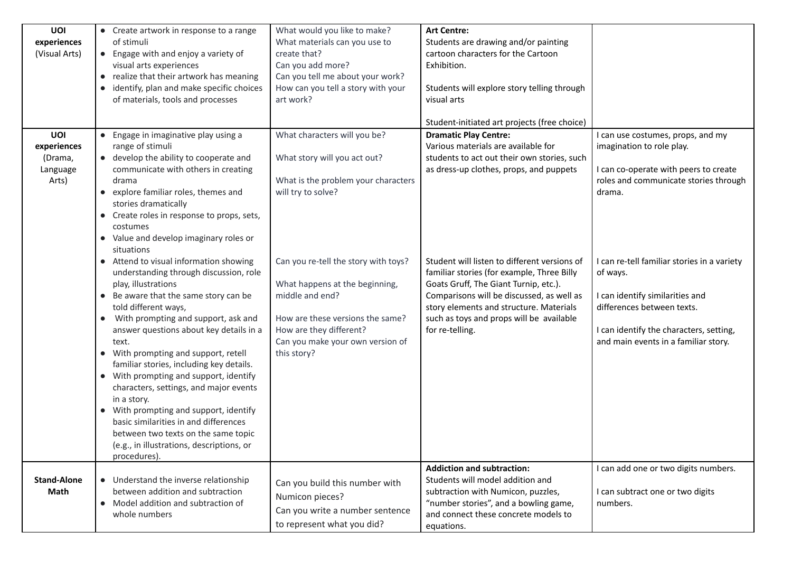| UOI<br>experiences<br>(Visual Arts)                | • Create artwork in response to a range<br>of stimuli<br>• Engage with and enjoy a variety of<br>visual arts experiences<br>• realize that their artwork has meaning<br>identify, plan and make specific choices<br>of materials, tools and processes                                                                                                                                                                                                                                                                                                                                                                                             | What would you like to make?<br>What materials can you use to<br>create that?<br>Can you add more?<br>Can you tell me about your work?<br>How can you tell a story with your<br>art work?                   | <b>Art Centre:</b><br>Students are drawing and/or painting<br>cartoon characters for the Cartoon<br>Exhibition.<br>Students will explore story telling through<br>visual arts<br>Student-initiated art projects (free choice)                                                              |                                                                                                                                                                                                             |
|----------------------------------------------------|---------------------------------------------------------------------------------------------------------------------------------------------------------------------------------------------------------------------------------------------------------------------------------------------------------------------------------------------------------------------------------------------------------------------------------------------------------------------------------------------------------------------------------------------------------------------------------------------------------------------------------------------------|-------------------------------------------------------------------------------------------------------------------------------------------------------------------------------------------------------------|--------------------------------------------------------------------------------------------------------------------------------------------------------------------------------------------------------------------------------------------------------------------------------------------|-------------------------------------------------------------------------------------------------------------------------------------------------------------------------------------------------------------|
| UOI<br>experiences<br>(Drama,<br>Language<br>Arts) | • Engage in imaginative play using a<br>range of stimuli<br>• develop the ability to cooperate and<br>communicate with others in creating<br>drama<br>• explore familiar roles, themes and<br>stories dramatically<br>• Create roles in response to props, sets,<br>costumes<br>• Value and develop imaginary roles or<br>situations                                                                                                                                                                                                                                                                                                              | What characters will you be?<br>What story will you act out?<br>What is the problem your characters<br>will try to solve?                                                                                   | <b>Dramatic Play Centre:</b><br>Various materials are available for<br>students to act out their own stories, such<br>as dress-up clothes, props, and puppets                                                                                                                              | can use costumes, props, and my<br>imagination to role play.<br>I can co-operate with peers to create<br>roles and communicate stories through<br>drama.                                                    |
|                                                    | • Attend to visual information showing<br>understanding through discussion, role<br>play, illustrations<br>• Be aware that the same story can be<br>told different ways,<br>• With prompting and support, ask and<br>answer questions about key details in a<br>text.<br>With prompting and support, retell<br>familiar stories, including key details.<br>• With prompting and support, identify<br>characters, settings, and major events<br>in a story.<br>• With prompting and support, identify<br>basic similarities in and differences<br>between two texts on the same topic<br>(e.g., in illustrations, descriptions, or<br>procedures). | Can you re-tell the story with toys?<br>What happens at the beginning,<br>middle and end?<br>How are these versions the same?<br>How are they different?<br>Can you make your own version of<br>this story? | Student will listen to different versions of<br>familiar stories (for example, Three Billy<br>Goats Gruff, The Giant Turnip, etc.).<br>Comparisons will be discussed, as well as<br>story elements and structure. Materials<br>such as toys and props will be available<br>for re-telling. | I can re-tell familiar stories in a variety<br>of ways.<br>I can identify similarities and<br>differences between texts.<br>I can identify the characters, setting,<br>and main events in a familiar story. |
| <b>Stand-Alone</b><br>Math                         | • Understand the inverse relationship<br>between addition and subtraction<br>• Model addition and subtraction of<br>whole numbers                                                                                                                                                                                                                                                                                                                                                                                                                                                                                                                 | Can you build this number with<br>Numicon pieces?<br>Can you write a number sentence<br>to represent what you did?                                                                                          | <b>Addiction and subtraction:</b><br>Students will model addition and<br>subtraction with Numicon, puzzles,<br>"number stories", and a bowling game,<br>and connect these concrete models to<br>equations.                                                                                 | I can add one or two digits numbers.<br>I can subtract one or two digits<br>numbers.                                                                                                                        |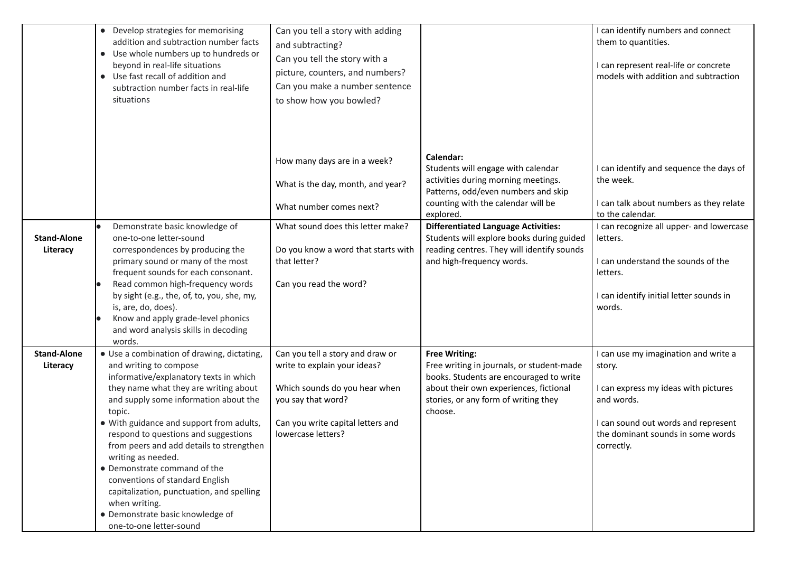|                                | • Develop strategies for memorising<br>addition and subtraction number facts<br>• Use whole numbers up to hundreds or<br>beyond in real-life situations<br>• Use fast recall of addition and<br>subtraction number facts in real-life<br>situations                                                                                                                                                                                                                                                                                                              | Can you tell a story with adding<br>and subtracting?<br>Can you tell the story with a<br>picture, counters, and numbers?<br>Can you make a number sentence<br>to show how you bowled? |                                                                                                                                                                                                           | I can identify numbers and connect<br>them to quantities.<br>I can represent real-life or concrete<br>models with addition and subtraction                                                     |
|--------------------------------|------------------------------------------------------------------------------------------------------------------------------------------------------------------------------------------------------------------------------------------------------------------------------------------------------------------------------------------------------------------------------------------------------------------------------------------------------------------------------------------------------------------------------------------------------------------|---------------------------------------------------------------------------------------------------------------------------------------------------------------------------------------|-----------------------------------------------------------------------------------------------------------------------------------------------------------------------------------------------------------|------------------------------------------------------------------------------------------------------------------------------------------------------------------------------------------------|
|                                |                                                                                                                                                                                                                                                                                                                                                                                                                                                                                                                                                                  | How many days are in a week?<br>What is the day, month, and year?<br>What number comes next?                                                                                          | Calendar:<br>Students will engage with calendar<br>activities during morning meetings.<br>Patterns, odd/even numbers and skip<br>counting with the calendar will be<br>explored.                          | I can identify and sequence the days of<br>the week.<br>I can talk about numbers as they relate<br>to the calendar.                                                                            |
| <b>Stand-Alone</b><br>Literacy | Demonstrate basic knowledge of<br>one-to-one letter-sound<br>correspondences by producing the<br>primary sound or many of the most<br>frequent sounds for each consonant.<br>Read common high-frequency words<br>by sight (e.g., the, of, to, you, she, my,<br>is, are, do, does).<br>Know and apply grade-level phonics<br>and word analysis skills in decoding<br>words.                                                                                                                                                                                       | What sound does this letter make?<br>Do you know a word that starts with<br>that letter?<br>Can you read the word?                                                                    | <b>Differentiated Language Activities:</b><br>Students will explore books during guided<br>reading centres. They will identify sounds<br>and high-frequency words.                                        | I can recognize all upper- and lowercase<br>letters.<br>I can understand the sounds of the<br>letters.<br>I can identify initial letter sounds in<br>words.                                    |
| <b>Stand-Alone</b><br>Literacy | · Use a combination of drawing, dictating,<br>and writing to compose<br>informative/explanatory texts in which<br>they name what they are writing about<br>and supply some information about the<br>topic.<br>• With guidance and support from adults,<br>respond to questions and suggestions<br>from peers and add details to strengthen<br>writing as needed.<br>• Demonstrate command of the<br>conventions of standard English<br>capitalization, punctuation, and spelling<br>when writing.<br>• Demonstrate basic knowledge of<br>one-to-one letter-sound | Can you tell a story and draw or<br>write to explain your ideas?<br>Which sounds do you hear when<br>you say that word?<br>Can you write capital letters and<br>lowercase letters?    | <b>Free Writing:</b><br>Free writing in journals, or student-made<br>books. Students are encouraged to write<br>about their own experiences, fictional<br>stories, or any form of writing they<br>choose. | I can use my imagination and write a<br>story.<br>I can express my ideas with pictures<br>and words.<br>I can sound out words and represent<br>the dominant sounds in some words<br>correctly. |